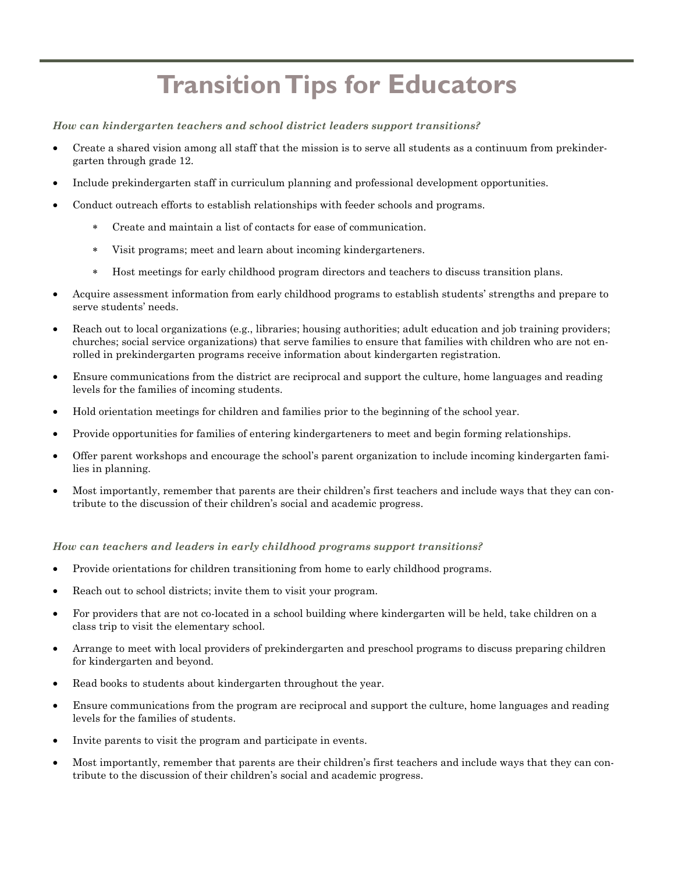## **Transition Tips for Educators**

*How can kindergarten teachers and school district leaders support transitions?* 

- Create a shared vision among all staff that the mission is to serve all students as a continuum from prekindergarten through grade 12.
- Include prekindergarten staff in curriculum planning and professional development opportunities.
- Conduct outreach efforts to establish relationships with feeder schools and programs.
	- Create and maintain a list of contacts for ease of communication.
	- Visit programs; meet and learn about incoming kindergarteners.
	- Host meetings for early childhood program directors and teachers to discuss transition plans.
- Acquire assessment information from early childhood programs to establish students' strengths and prepare to serve students' needs.
- Reach out to local organizations (e.g., libraries; housing authorities; adult education and job training providers; churches; social service organizations) that serve families to ensure that families with children who are not enrolled in prekindergarten programs receive information about kindergarten registration.
- Ensure communications from the district are reciprocal and support the culture, home languages and reading levels for the families of incoming students.
- Hold orientation meetings for children and families prior to the beginning of the school year.
- Provide opportunities for families of entering kindergarteners to meet and begin forming relationships.
- Offer parent workshops and encourage the school's parent organization to include incoming kindergarten families in planning.
- Most importantly, remember that parents are their children's first teachers and include ways that they can contribute to the discussion of their children's social and academic progress.

## *How can teachers and leaders in early childhood programs support transitions?*

- Provide orientations for children transitioning from home to early childhood programs.
- Reach out to school districts; invite them to visit your program.
- For providers that are not co-located in a school building where kindergarten will be held, take children on a class trip to visit the elementary school.
- Arrange to meet with local providers of prekindergarten and preschool programs to discuss preparing children for kindergarten and beyond.
- Read books to students about kindergarten throughout the year.
- Ensure communications from the program are reciprocal and support the culture, home languages and reading levels for the families of students.
- Invite parents to visit the program and participate in events.
- Most importantly, remember that parents are their children's first teachers and include ways that they can contribute to the discussion of their children's social and academic progress.